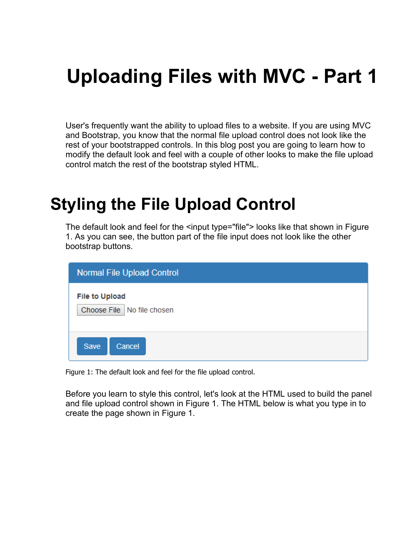# **Uploading Files with MVC - Part 1**

User's frequently want the ability to upload files to a website. If you are using MVC and Bootstrap, you know that the normal file upload control does not look like the rest of your bootstrapped controls. In this blog post you are going to learn how to modify the default look and feel with a couple of other looks to make the file upload control match the rest of the bootstrap styled HTML.

## **Styling the File Upload Control**

The default look and feel for the <input type="file"> looks like that shown in Figure [1.](#page-0-0) As you can see, the button part of the file input does not look like the other bootstrap buttons.

| <b>Normal File Upload Control</b>                     |
|-------------------------------------------------------|
| <b>File to Upload</b><br>Choose File   No file chosen |
| Save<br>Cancel                                        |

<span id="page-0-0"></span>Figure 1: The default look and feel for the file upload control.

Before you learn to style this control, let's look at the HTML used to build the panel and file upload control shown in [Figure 1.](#page-0-0) The HTML below is what you type in to create the page shown in Figure 1.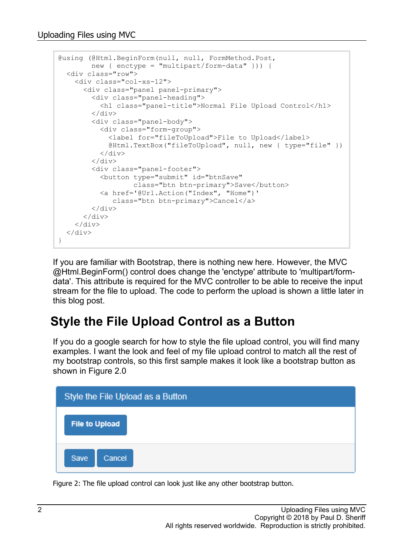```
@using (@Html.BeginForm(null, null, FormMethod.Post,
        new { enctype = "multipart/form-data" })) {
  <div class="row">
     <div class="col-xs-12">
       <div class="panel panel-primary">
         <div class="panel-heading">
            <h1 class="panel-title">Normal File Upload Control</h1>
        \langle /div>
         <div class="panel-body">
            <div class="form-group">
              <label for="fileToUpload">File to Upload</label>
              @Html.TextBox("fileToUpload", null, new { type="file" })
           \langle div>
        \langle/div\rangle <div class="panel-footer">
           <button type="submit" id="btnSave" 
                   class="btn btn-primary">Save</button>
            <a href='@Url.Action("Index", "Home")' 
              class="btn btn-primary">Cancel</a>
        \langle div\rangle </div>
    \langle div>
  \langle div\rangle}
```
If you are familiar with Bootstrap, there is nothing new here. However, the MVC @Html.BeginForm() control does change the 'enctype' attribute to 'multipart/formdata'. This attribute is required for the MVC controller to be able to receive the input stream for the file to upload. The code to perform the upload is shown a little later in this blog post.

#### **Style the File Upload Control as a Button**

If you do a google search for how to style the file upload control, you will find many examples. I want the look and feel of my file upload control to match all the rest of my bootstrap controls, so this first sample makes it look like a bootstrap button as shown in [Figure 2.](#page-1-0)0



<span id="page-1-0"></span>Figure 2: The file upload control can look just like any other bootstrap button.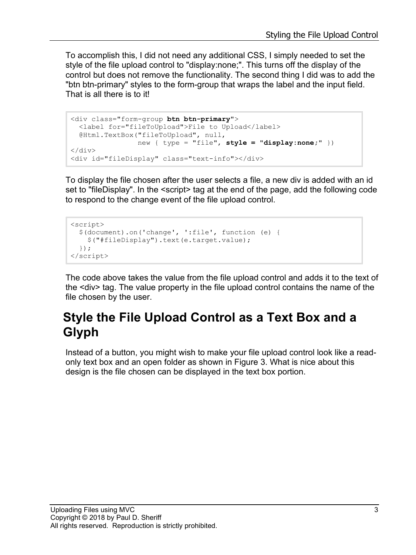To accomplish this, I did not need any additional CSS, I simply needed to set the style of the file upload control to "display:none;". This turns off the display of the control but does not remove the functionality. The second thing I did was to add the "btn btn-primary" styles to the form-group that wraps the label and the input field. That is all there is to it!

```
<div class="form-group btn btn-primary">
  <label for="fileToUpload">File to Upload</label>
  @Html.TextBox("fileToUpload", null, 
                new { type = "file", style = "display:none;" })
</div>
<div id="fileDisplay" class="text-info"></div>
```
To display the file chosen after the user selects a file, a new div is added with an id set to "fileDisplay". In the <script> tag at the end of the page, add the following code to respond to the change event of the file upload control.

```
<script>
   $(document).on('change', ':file', function (e) {
     $("#fileDisplay").text(e.target.value);
   });
</script>
```
The code above takes the value from the file upload control and adds it to the text of the <div> tag. The value property in the file upload control contains the name of the file chosen by the user.

#### **Style the File Upload Control as a Text Box and a Glyph**

Instead of a button, you might wish to make your file upload control look like a readonly text box and an open folder as shown in [Figure 3.](#page-3-0) What is nice about this design is the file chosen can be displayed in the text box portion.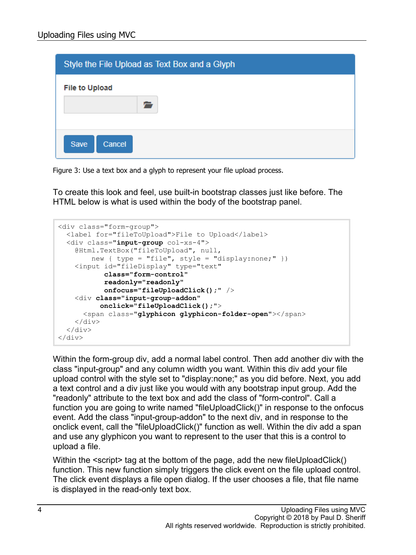| Style the File Upload as Text Box and a Glyph |
|-----------------------------------------------|
| <b>File to Upload</b>                         |
|                                               |
|                                               |
| Save<br>Cancel                                |

<span id="page-3-0"></span>Figure 3: Use a text box and a glyph to represent your file upload process.

To create this look and feel, use built-in bootstrap classes just like before. The HTML below is what is used within the body of the bootstrap panel.

```
<div class="form-group">
   <label for="fileToUpload">File to Upload</label>
   <div class="input-group col-xs-4">
     @Html.TextBox("fileToUpload", null,
        new { type = "file", style = "display:none;" })
     <input id="fileDisplay" type="text" 
            class="form-control"
            readonly="readonly" 
            onfocus="fileUploadClick();" />
     <div class="input-group-addon" 
           onclick="fileUploadClick();">
       <span class="glyphicon glyphicon-folder-open"></span>
    \langlediv\rangle </div>
</div>
```
Within the form-group div, add a normal label control. Then add another div with the class "input-group" and any column width you want. Within this div add your file upload control with the style set to "display:none;" as you did before. Next, you add a text control and a div just like you would with any bootstrap input group. Add the "readonly" attribute to the text box and add the class of "form-control". Call a function you are going to write named "fileUploadClick()" in response to the onfocus event. Add the class "input-group-addon" to the next div, and in response to the onclick event, call the "fileUploadClick()" function as well. Within the div add a span and use any glyphicon you want to represent to the user that this is a control to upload a file.

Within the <script> tag at the bottom of the page, add the new fileUploadClick() function. This new function simply triggers the click event on the file upload control. The click event displays a file open dialog. If the user chooses a file, that file name is displayed in the read-only text box.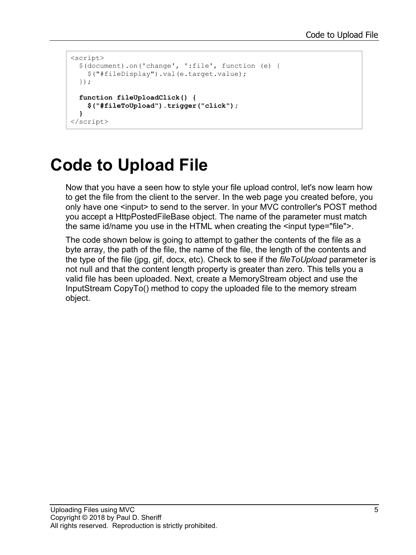```
<script>
   $(document).on('change', ':file', function (e) {
     $("#fileDisplay").val(e.target.value);
   });
  function fileUploadClick() {
     $("#fileToUpload").trigger("click");
   }
</script>
```
## **Code to Upload File**

Now that you have a seen how to style your file upload control, let's now learn how to get the file from the client to the server. In the web page you created before, you only have one <input> to send to the server. In your MVC controller's POST method you accept a HttpPostedFileBase object. The name of the parameter must match the same id/name you use in the HTML when creating the <input type="file">.

The code shown below is going to attempt to gather the contents of the file as a byte array, the path of the file, the name of the file, the length of the contents and the type of the file (jpg, gif, docx, etc). Check to see if the *fileToUpload* parameter is not null and that the content length property is greater than zero. This tells you a valid file has been uploaded. Next, create a MemoryStream object and use the InputStream CopyTo() method to copy the uploaded file to the memory stream object.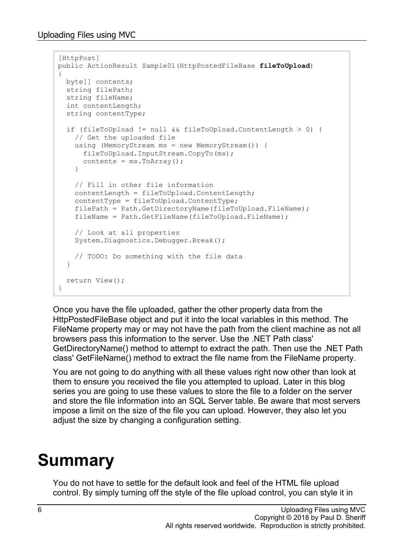```
[HttpPost]
public ActionResult Sample01(HttpPostedFileBase fileToUpload)
{
  byte[] contents;
  string filePath;
  string fileName;
   int contentLength;
   string contentType;
   if (fileToUpload != null && fileToUpload.ContentLength > 0) {
     // Get the uploaded file
     using (MemoryStream ms = new MemoryStream()) {
      fileToUpload.InputStream.CopyTo(ms);
      contents = ms.ToArray();
     }
     // Fill in other file information
     contentLength = fileToUpload.ContentLength;
     contentType = fileToUpload.ContentType;
     filePath = Path.GetDirectoryName(fileToUpload.FileName);
     fileName = Path.GetFileName(fileToUpload.FileName);
     // Look at all properties
     System.Diagnostics.Debugger.Break();
     // TODO: Do something with the file data
   }
  return View();
}
```
Once you have the file uploaded, gather the other property data from the HttpPostedFileBase object and put it into the local variables in this method. The FileName property may or may not have the path from the client machine as not all browsers pass this information to the server. Use the .NET Path class' GetDirectoryName() method to attempt to extract the path. Then use the .NET Path class' GetFileName() method to extract the file name from the FileName property.

You are not going to do anything with all these values right now other than look at them to ensure you received the file you attempted to upload. Later in this blog series you are going to use these values to store the file to a folder on the server and store the file information into an SQL Server table. Be aware that most servers impose a limit on the size of the file you can upload. However, they also let you adjust the size by changing a configuration setting.

## **Summary**

You do not have to settle for the default look and feel of the HTML file upload control. By simply turning off the style of the file upload control, you can style it in